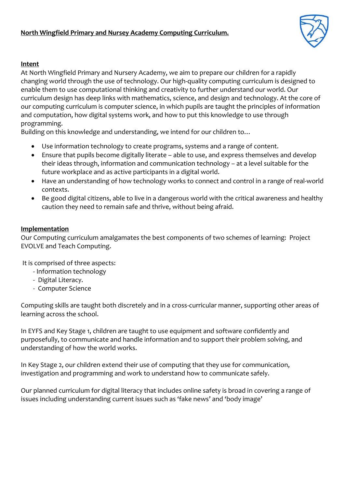

## **Intent**

At North Wingfield Primary and Nursery Academy, we aim to prepare our children for a rapidly changing world through the use of technology. Our high-quality computing curriculum is designed to enable them to use computational thinking and creativity to further understand our world. Our curriculum design has deep links with mathematics, science, and design and technology. At the core of our computing curriculum is computer science, in which pupils are taught the principles of information and computation, how digital systems work, and how to put this knowledge to use through programming.

Building on this knowledge and understanding, we intend for our children to…

- Use information technology to create programs, systems and a range of content.
- Ensure that pupils become digitally literate able to use, and express themselves and develop their ideas through, information and communication technology – at a level suitable for the future workplace and as active participants in a digital world.
- Have an understanding of how technology works to connect and control in a range of real-world contexts.
- Be good digital citizens, able to live in a dangerous world with the critical awareness and healthy caution they need to remain safe and thrive, without being afraid.

## **Implementation**

Our Computing curriculum amalgamates the best components of two schemes of learning: Project EVOLVE and Teach Computing.

It is comprised of three aspects:

- Information technology
- Digital Literacy.
- Computer Science

Computing skills are taught both discretely and in a cross-curricular manner, supporting other areas of learning across the school.

In EYFS and Key Stage 1, children are taught to use equipment and software confidently and purposefully, to communicate and handle information and to support their problem solving, and understanding of how the world works.

In Key Stage 2, our children extend their use of computing that they use for communication, investigation and programming and work to understand how to communicate safely.

Our planned curriculum for digital literacy that includes online safety is broad in covering a range of issues including understanding current issues such as 'fake news' and 'body image'